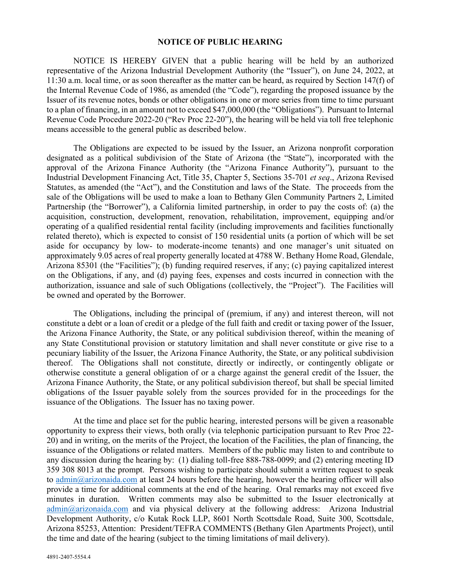## **NOTICE OF PUBLIC HEARING**

NOTICE IS HEREBY GIVEN that a public hearing will be held by an authorized representative of the Arizona Industrial Development Authority (the "Issuer"), on June 24, 2022, at 11:30 a.m. local time, or as soon thereafter as the matter can be heard, as required by Section 147(f) of the Internal Revenue Code of 1986, as amended (the "Code"), regarding the proposed issuance by the Issuer of its revenue notes, bonds or other obligations in one or more series from time to time pursuant to a plan of financing, in an amount not to exceed \$47,000,000 (the "Obligations"). Pursuant to Internal Revenue Code Procedure 2022-20 ("Rev Proc 22-20"), the hearing will be held via toll free telephonic means accessible to the general public as described below.

The Obligations are expected to be issued by the Issuer, an Arizona nonprofit corporation designated as a political subdivision of the State of Arizona (the "State"), incorporated with the approval of the Arizona Finance Authority (the "Arizona Finance Authority"), pursuant to the Industrial Development Financing Act, Title 35, Chapter 5, Sections 35-701 *et seq*., Arizona Revised Statutes, as amended (the "Act"), and the Constitution and laws of the State. The proceeds from the sale of the Obligations will be used to make a loan to Bethany Glen Community Partners 2, Limited Partnership (the "Borrower"), a California limited partnership, in order to pay the costs of: (a) the acquisition, construction, development, renovation, rehabilitation, improvement, equipping and/or operating of a qualified residential rental facility (including improvements and facilities functionally related thereto), which is expected to consist of 150 residential units (a portion of which will be set aside for occupancy by low- to moderate-income tenants) and one manager's unit situated on approximately 9.05 acres of real property generally located at 4788 W. Bethany Home Road, Glendale, Arizona 85301 (the "Facilities"); (b) funding required reserves, if any; (c) paying capitalized interest on the Obligations, if any, and (d) paying fees, expenses and costs incurred in connection with the authorization, issuance and sale of such Obligations (collectively, the "Project"). The Facilities will be owned and operated by the Borrower.

The Obligations, including the principal of (premium, if any) and interest thereon, will not constitute a debt or a loan of credit or a pledge of the full faith and credit or taxing power of the Issuer, the Arizona Finance Authority, the State, or any political subdivision thereof, within the meaning of any State Constitutional provision or statutory limitation and shall never constitute or give rise to a pecuniary liability of the Issuer, the Arizona Finance Authority, the State, or any political subdivision thereof. The Obligations shall not constitute, directly or indirectly, or contingently obligate or otherwise constitute a general obligation of or a charge against the general credit of the Issuer, the Arizona Finance Authority, the State, or any political subdivision thereof, but shall be special limited obligations of the Issuer payable solely from the sources provided for in the proceedings for the issuance of the Obligations. The Issuer has no taxing power.

At the time and place set for the public hearing, interested persons will be given a reasonable opportunity to express their views, both orally (via telephonic participation pursuant to Rev Proc 22- 20) and in writing, on the merits of the Project, the location of the Facilities, the plan of financing, the issuance of the Obligations or related matters. Members of the public may listen to and contribute to any discussion during the hearing by: (1) dialing toll-free 888-788-0099; and (2) entering meeting ID 359 308 8013 at the prompt. Persons wishing to participate should submit a written request to speak to admin $@$ arizonaida.com at least 24 hours before the hearing, however the hearing officer will also provide a time for additional comments at the end of the hearing. Oral remarks may not exceed five minutes in duration. Written comments may also be submitted to the Issuer electronically at [admin@arizonaida.com](mailto:admin@arizonaida.com) and via physical delivery at the following address: Arizona Industrial Development Authority, c/o Kutak Rock LLP, 8601 North Scottsdale Road, Suite 300, Scottsdale, Arizona 85253, Attention: President/TEFRA COMMENTS (Bethany Glen Apartments Project), until the time and date of the hearing (subject to the timing limitations of mail delivery).